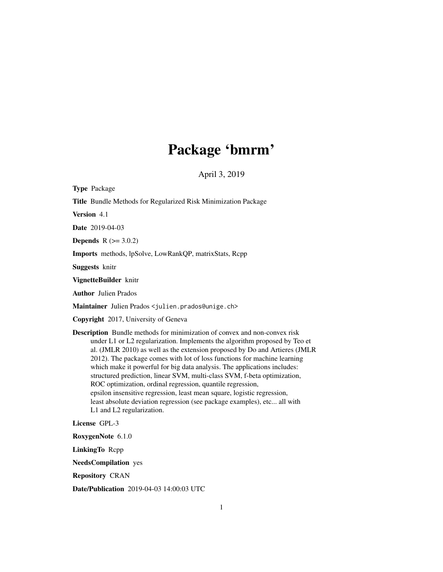# Package 'bmrm'

April 3, 2019

Type Package

Title Bundle Methods for Regularized Risk Minimization Package

Version 4.1

Date 2019-04-03

**Depends**  $R$  ( $> = 3.0.2$ )

Imports methods, lpSolve, LowRankQP, matrixStats, Rcpp

Suggests knitr

VignetteBuilder knitr

Author Julien Prados

Maintainer Julien Prados <julien.prados@unige.ch>

Copyright 2017, University of Geneva

Description Bundle methods for minimization of convex and non-convex risk under L1 or L2 regularization. Implements the algorithm proposed by Teo et al. (JMLR 2010) as well as the extension proposed by Do and Artieres (JMLR 2012). The package comes with lot of loss functions for machine learning which make it powerful for big data analysis. The applications includes: structured prediction, linear SVM, multi-class SVM, f-beta optimization, ROC optimization, ordinal regression, quantile regression, epsilon insensitive regression, least mean square, logistic regression, least absolute deviation regression (see package examples), etc... all with L1 and L2 regularization.

License GPL-3

RoxygenNote 6.1.0

LinkingTo Rcpp

NeedsCompilation yes

Repository CRAN

Date/Publication 2019-04-03 14:00:03 UTC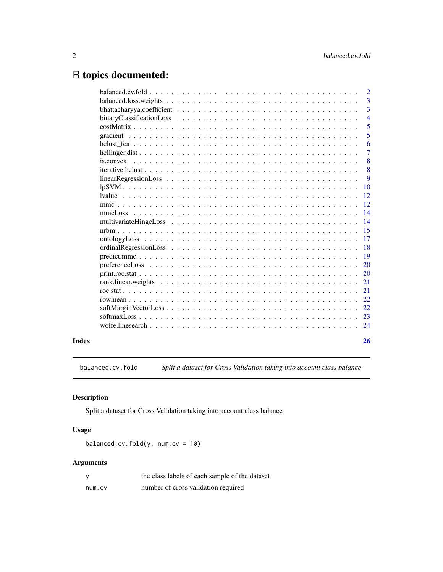# <span id="page-1-0"></span>R topics documented:

|                                                                                                                    |  | $\overline{2}$ |
|--------------------------------------------------------------------------------------------------------------------|--|----------------|
|                                                                                                                    |  | $\overline{3}$ |
|                                                                                                                    |  | 3              |
|                                                                                                                    |  | $\overline{4}$ |
|                                                                                                                    |  | 5              |
|                                                                                                                    |  | 5              |
|                                                                                                                    |  | 6              |
|                                                                                                                    |  | $\overline{7}$ |
| $is. convex \dots \dots \dots \dots \dots \dots \dots \dots \dots \dots \dots \dots \dots \dots \dots \dots \dots$ |  | 8              |
|                                                                                                                    |  | 8              |
|                                                                                                                    |  | 9              |
|                                                                                                                    |  | 10             |
|                                                                                                                    |  | 12             |
|                                                                                                                    |  | 12             |
| mmcLoss                                                                                                            |  | 14             |
|                                                                                                                    |  | 14             |
|                                                                                                                    |  | 15             |
|                                                                                                                    |  | 17             |
|                                                                                                                    |  | 18             |
|                                                                                                                    |  | 19             |
|                                                                                                                    |  | 20             |
|                                                                                                                    |  | 20             |
|                                                                                                                    |  | 21             |
|                                                                                                                    |  | 21             |
|                                                                                                                    |  | 22             |
|                                                                                                                    |  | 22             |
|                                                                                                                    |  | 23             |
|                                                                                                                    |  | 24             |
|                                                                                                                    |  |                |

#### **Index** [26](#page-25-0)

balanced.cv.fold *Split a dataset for Cross Validation taking into account class balance*

# Description

Split a dataset for Cross Validation taking into account class balance

# Usage

balanced.cv.fold(y,  $num(cv = 10)$ 

# Arguments

|        | the class labels of each sample of the dataset |
|--------|------------------------------------------------|
| num.cv | number of cross validation required            |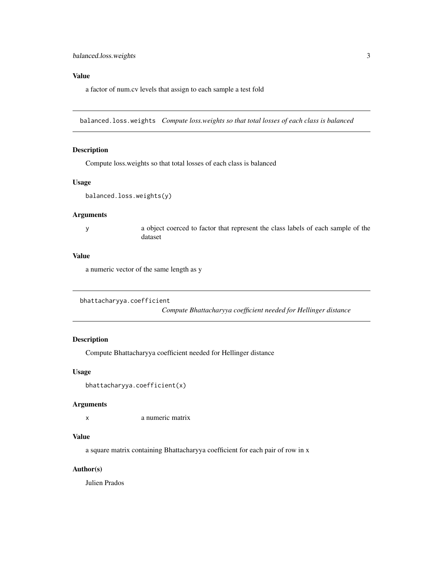# <span id="page-2-0"></span>Value

a factor of num.cv levels that assign to each sample a test fold

balanced.loss.weights *Compute loss.weights so that total losses of each class is balanced*

# Description

Compute loss.weights so that total losses of each class is balanced

## Usage

```
balanced.loss.weights(y)
```
#### Arguments

y a object coerced to factor that represent the class labels of each sample of the dataset

#### Value

a numeric vector of the same length as y

```
bhattacharyya.coefficient
```
*Compute Bhattacharyya coefficient needed for Hellinger distance*

# Description

Compute Bhattacharyya coefficient needed for Hellinger distance

#### Usage

```
bhattacharyya.coefficient(x)
```
#### Arguments

x a numeric matrix

#### Value

a square matrix containing Bhattacharyya coefficient for each pair of row in x

# Author(s)

Julien Prados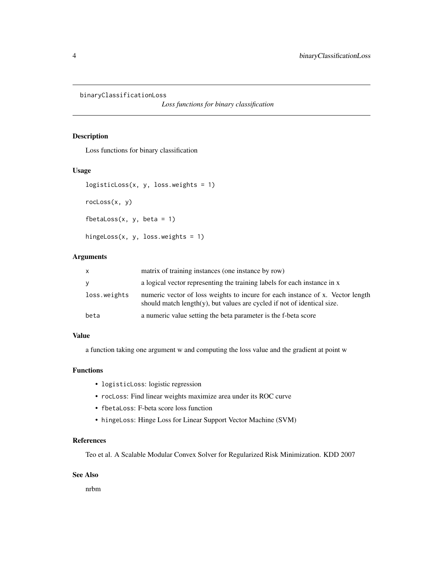<span id="page-3-0"></span>binaryClassificationLoss

*Loss functions for binary classification*

# Description

Loss functions for binary classification

# Usage

```
logisticLoss(x, y, loss.weights = 1)rocLoss(x, y)
fbetaLoss(x, y, \text{beta} = 1)hingeLoss(x, y, loss.weights = 1)
```
#### Arguments

| X            | matrix of training instances (one instance by row)                                                                                                            |
|--------------|---------------------------------------------------------------------------------------------------------------------------------------------------------------|
| y            | a logical vector representing the training labels for each instance in x                                                                                      |
| loss.weights | numeric vector of loss weights to incure for each instance of x. Vector length<br>should match length $(y)$ , but values are cycled if not of identical size. |
| beta         | a numeric value setting the beta parameter is the f-beta score                                                                                                |

#### Value

a function taking one argument w and computing the loss value and the gradient at point w

# Functions

- logisticLoss: logistic regression
- rocLoss: Find linear weights maximize area under its ROC curve
- fbetaLoss: F-beta score loss function
- hingeLoss: Hinge Loss for Linear Support Vector Machine (SVM)

#### References

Teo et al. A Scalable Modular Convex Solver for Regularized Risk Minimization. KDD 2007

#### See Also

nrbm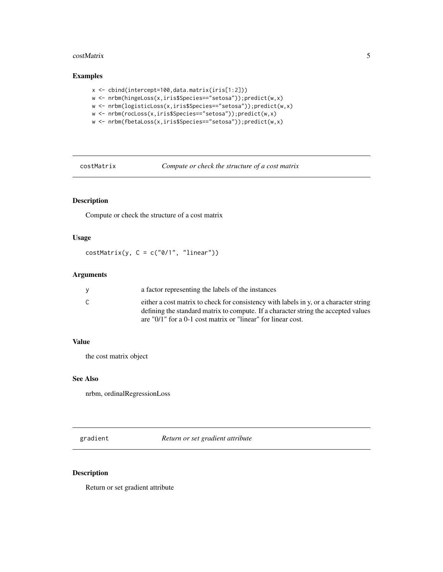#### <span id="page-4-0"></span>costMatrix 5

# Examples

```
x <- cbind(intercept=100,data.matrix(iris[1:2]))
w <- nrbm(hingeLoss(x,iris$Species=="setosa"));predict(w,x)
w <- nrbm(logisticLoss(x,iris$Species=="setosa"));predict(w,x)
w <- nrbm(rocLoss(x,iris$Species=="setosa"));predict(w,x)
w <- nrbm(fbetaLoss(x,iris$Species=="setosa"));predict(w,x)
```
costMatrix *Compute or check the structure of a cost matrix*

# Description

Compute or check the structure of a cost matrix

# Usage

 $costMatrix(y, C = c("0/1", "linear"))$ 

# Arguments

|   | a factor representing the labels of the instances                                                                                                                           |
|---|-----------------------------------------------------------------------------------------------------------------------------------------------------------------------------|
| C | either a cost matrix to check for consistency with labels in y, or a character string<br>defining the standard matrix to compute. If a character string the accepted values |
|   | are "0/1" for a 0-1 cost matrix or "linear" for linear cost.                                                                                                                |

# Value

the cost matrix object

# See Also

nrbm, ordinalRegressionLoss

gradient *Return or set gradient attribute*

# Description

Return or set gradient attribute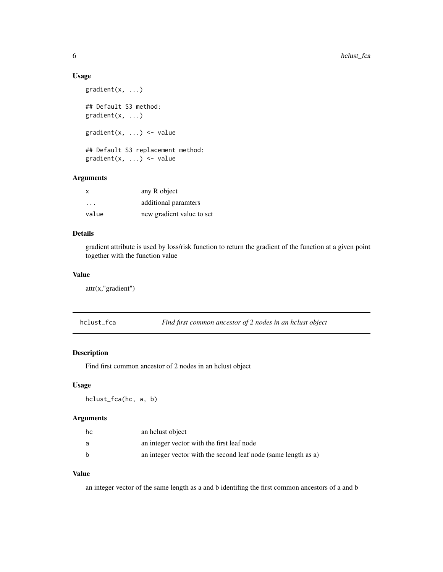#### Usage

```
gradient(x, ...)
## Default S3 method:
gradient(x, ...)
gradient(x, \ldots) <- value
## Default S3 replacement method:
gradient(x, \ldots) \leq value
```
# Arguments

| X     | any R object              |
|-------|---------------------------|
| .     | additional paramters      |
| value | new gradient value to set |

# Details

gradient attribute is used by loss/risk function to return the gradient of the function at a given point together with the function value

# Value

attr(x,"gradient")

hclust\_fca *Find first common ancestor of 2 nodes in an hclust object*

# Description

Find first common ancestor of 2 nodes in an hclust object

# Usage

hclust\_fca(hc, a, b)

# Arguments

| hc | an helust object                                               |
|----|----------------------------------------------------------------|
| a  | an integer vector with the first leaf node                     |
| h  | an integer vector with the second leaf node (same length as a) |

# Value

an integer vector of the same length as a and b identifing the first common ancestors of a and b

<span id="page-5-0"></span>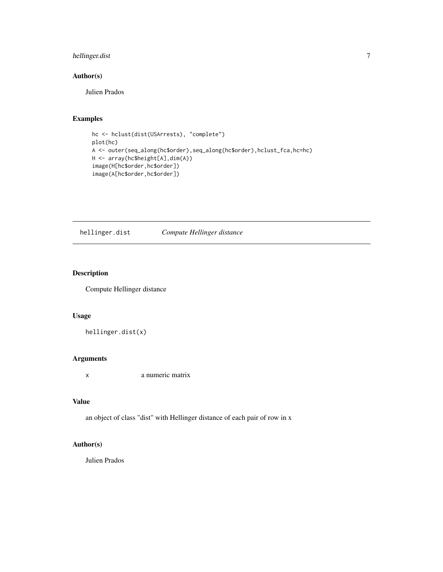# <span id="page-6-0"></span>hellinger.dist 7

# Author(s)

Julien Prados

# Examples

```
hc <- hclust(dist(USArrests), "complete")
plot(hc)
A <- outer(seq_along(hc$order),seq_along(hc$order),hclust_fca,hc=hc)
H <- array(hc$height[A],dim(A))
image(H[hc$order,hc$order])
image(A[hc$order,hc$order])
```
hellinger.dist *Compute Hellinger distance*

# Description

Compute Hellinger distance

### Usage

hellinger.dist(x)

#### Arguments

x a numeric matrix

# Value

an object of class "dist" with Hellinger distance of each pair of row in x

# Author(s)

Julien Prados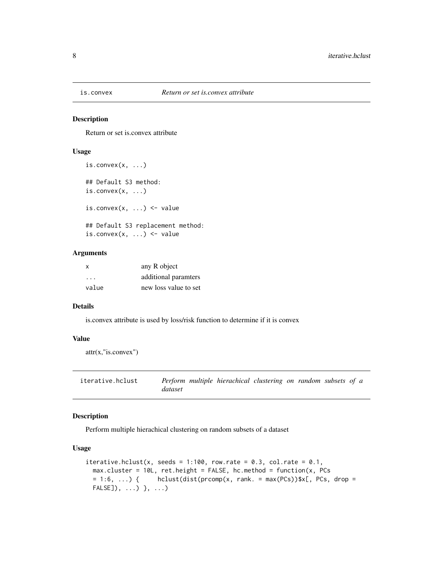<span id="page-7-0"></span>

#### Description

Return or set is.convex attribute

# Usage

```
is.convex(x, \ldots)## Default S3 method:
is.convex(x, ...)is.convex(x, ...) \leftarrow value## Default S3 replacement method:
is.convex(x, \ldots) \leq value
```
### Arguments

| $\boldsymbol{\mathsf{x}}$ | any R object          |
|---------------------------|-----------------------|
| $\cdot$ $\cdot$ $\cdot$   | additional paramters  |
| value                     | new loss value to set |

### Details

is.convex attribute is used by loss/risk function to determine if it is convex

#### Value

```
attr(x,"is.convex")
```
iterative.hclust *Perform multiple hierachical clustering on random subsets of a dataset*

#### Description

Perform multiple hierachical clustering on random subsets of a dataset

```
iterative.hclust(x, seeds = 1:100, row.rate = 0.3, col.rate = 0.1,
 max.cluster = 10L, ret.height = FALSE, hc.method = function(x, PCs
 = 1:6, ... { hclust(dist(prcomp(x, rank. = max(PCs))$x[, PCs, drop =
 FALSE]), ...) }, ...)
```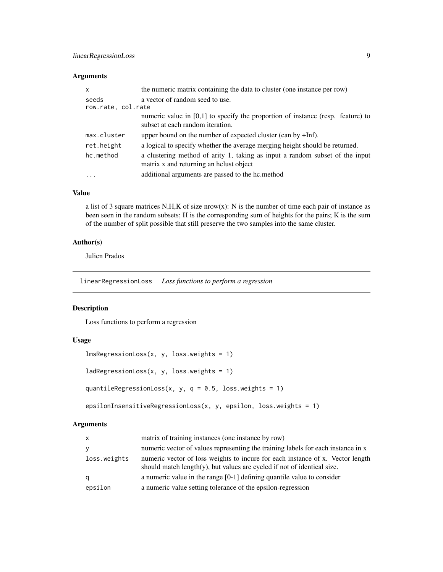# <span id="page-8-0"></span>Arguments

| X                           | the numeric matrix containing the data to cluster (one instance per row)                                                |
|-----------------------------|-------------------------------------------------------------------------------------------------------------------------|
| seeds<br>row.rate, col.rate | a vector of random seed to use.                                                                                         |
|                             | numeric value in $[0,1]$ to specify the proportion of instance (resp. feature) to<br>subset at each random iteration.   |
| max.cluster                 | upper bound on the number of expected cluster (can by $+Inf$ ).                                                         |
| ret.height                  | a logical to specify whether the average merging height should be returned.                                             |
| hc.method                   | a clustering method of arity 1, taking as input a random subset of the input<br>matrix x and returning an helust object |
| $\cdots$                    | additional arguments are passed to the hc.method                                                                        |

# Value

a list of 3 square matrices N,H,K of size nrow(x): N is the number of time each pair of instance as been seen in the random subsets; H is the corresponding sum of heights for the pairs; K is the sum of the number of split possible that still preserve the two samples into the same cluster.

# Author(s)

Julien Prados

linearRegressionLoss *Loss functions to perform a regression*

#### Description

Loss functions to perform a regression

#### Usage

```
lmsRegressionLoss(x, y, loss.weights = 1)
```

```
ladRegressionLoss(x, y, loss.weights = 1)
```

```
quantileRegressionLoss(x, y, q = 0.5, loss.weights = 1)
```

```
epsilonInsensitiveRegressionLoss(x, y, epsilon, loss.weights = 1)
```
# Arguments

| $\mathsf{x}$ | matrix of training instances (one instance by row)                                                                                                            |
|--------------|---------------------------------------------------------------------------------------------------------------------------------------------------------------|
| У            | numeric vector of values representing the training labels for each instance in x                                                                              |
| loss.weights | numeric vector of loss weights to incure for each instance of x. Vector length<br>should match length $(y)$ , but values are cycled if not of identical size. |
| a            | a numeric value in the range $[0-1]$ defining quantile value to consider                                                                                      |
| epsilon      | a numeric value setting tolerance of the epsilon-regression                                                                                                   |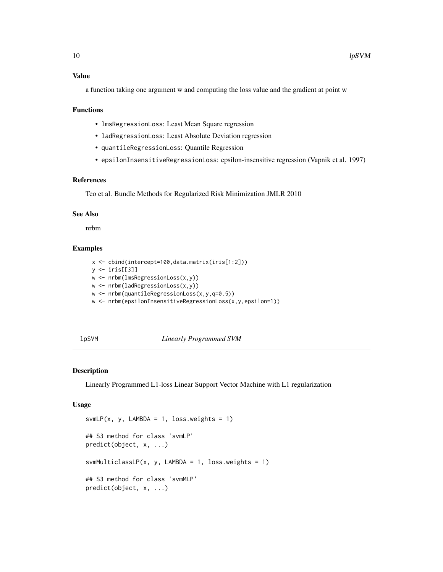<span id="page-9-0"></span>a function taking one argument w and computing the loss value and the gradient at point w

#### Functions

- lmsRegressionLoss: Least Mean Square regression
- ladRegressionLoss: Least Absolute Deviation regression
- quantileRegressionLoss: Quantile Regression
- epsilonInsensitiveRegressionLoss: epsilon-insensitive regression (Vapnik et al. 1997)

#### References

Teo et al. Bundle Methods for Regularized Risk Minimization JMLR 2010

#### See Also

nrbm

#### Examples

```
x <- cbind(intercept=100,data.matrix(iris[1:2]))
y <- iris[[3]]
w <- nrbm(lmsRegressionLoss(x,y))
w <- nrbm(ladRegressionLoss(x,y))
w <- nrbm(quantileRegressionLoss(x,y,q=0.5))
w <- nrbm(epsilonInsensitiveRegressionLoss(x,y,epsilon=1))
```
#### lpSVM *Linearly Programmed SVM*

# Description

Linearly Programmed L1-loss Linear Support Vector Machine with L1 regularization

```
svmLP(x, y, LAMBDA = 1, loss.weights = 1)
## S3 method for class 'svmLP'
predict(object, x, ...)
svmMulticlassLP(x, y, LAMBDA = 1, loss.weights = 1)
## S3 method for class 'svmMLP'
predict(object, x, ...)
```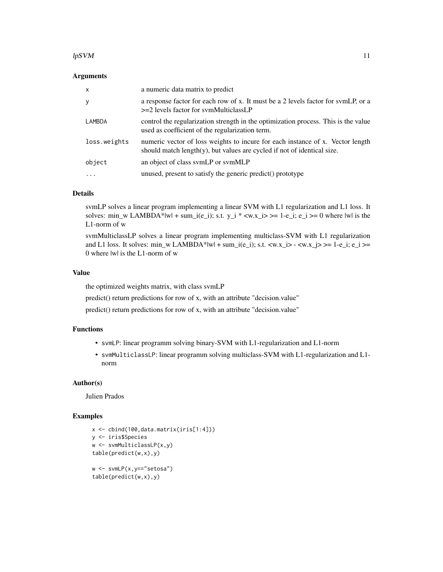#### $l$ pSVM 11

#### Arguments

| $\times$     | a numeric data matrix to predict                                                                                                                             |
|--------------|--------------------------------------------------------------------------------------------------------------------------------------------------------------|
| У            | a response factor for each row of x. It must be a 2 levels factor for symLP, or a<br>$>=$ 2 levels factor for symMulticlassLP                                |
| LAMBDA       | control the regularization strength in the optimization process. This is the value<br>used as coefficient of the regularization term.                        |
| loss.weights | numeric vector of loss weights to incure for each instance of x. Vector length<br>should match $length(y)$ , but values are cycled if not of identical size. |
| object       | an object of class symLP or symMLP                                                                                                                           |
|              | unused, present to satisfy the generic predict() prototype                                                                                                   |

# Details

svmLP solves a linear program implementing a linear SVM with L1 regularization and L1 loss. It solves: min\_w LAMBDA\*|w| + sum\_i(e\_i); s.t.  $y_i$  \* <w.x\_i> >= 1-e\_i; e\_i >= 0 where |w| is the L1-norm of w

svmMulticlassLP solves a linear program implementing multiclass-SVM with L1 regularization and L1 loss. It solves: min\_w LAMBDA\*|w| + sum\_i(e\_i); s.t.  $\langle w.x_i \rangle > - \langle w.x_j \rangle > = 1 - e_i$ ;  $e_i \rangle =$ 0 where |w| is the L1-norm of w

#### Value

the optimized weights matrix, with class svmLP

predict() return predictions for row of x, with an attribute "decision.value"

predict() return predictions for row of x, with an attribute "decision.value"

# Functions

- svmLP: linear programm solving binary-SVM with L1-regularization and L1-norm
- svmMulticlassLP: linear programm solving multiclass-SVM with L1-regularization and L1 norm

#### Author(s)

Julien Prados

# Examples

```
x <- cbind(100,data.matrix(iris[1:4]))
y <- iris$Species
w <- svmMulticlassLP(x,y)
table(predict(w,x),y)
w <- svmLP(x,y=="setosa")
table(predict(w,x),y)
```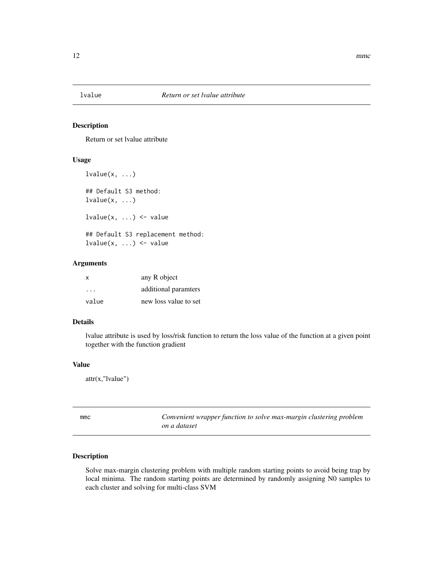<span id="page-11-0"></span>

#### Description

Return or set lvalue attribute

# Usage

```
lvalue(x, \ldots)## Default S3 method:
lvalue(x, \ldots)lvalue(x, ...) \leq value## Default S3 replacement method:
lvalue(x, ...) \leq value
```
# Arguments

| X     | any R object          |
|-------|-----------------------|
| .     | additional paramters  |
| value | new loss value to set |

# Details

lvalue attribute is used by loss/risk function to return the loss value of the function at a given point together with the function gradient

# Value

```
attr(x,"lvalue")
```
mmc *Convenient wrapper function to solve max-margin clustering problem on a dataset*

# Description

Solve max-margin clustering problem with multiple random starting points to avoid being trap by local minima. The random starting points are determined by randomly assigning N0 samples to each cluster and solving for multi-class SVM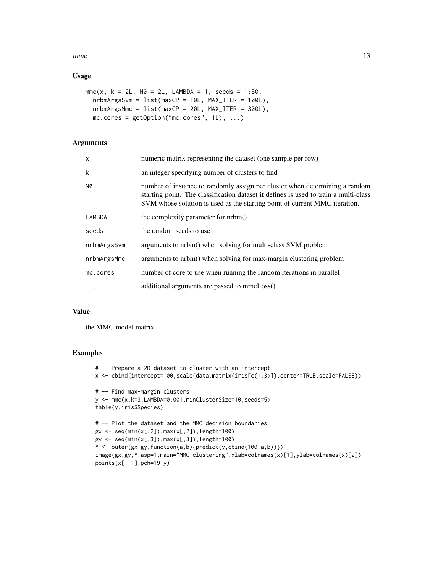mmc  $\sim$  13

# Usage

```
mmc(x, k = 2L, N0 = 2L, LAMBDA = 1, seeds = 1:50,nrbmArgsSym = list(maxCP = 10L, MAX_ITER = 100L),nrbmArgsMmc = list(maxCP = 20L, MAX_ITER = 300L),mc.core = getOption("mc.cores", 1L), ...)
```
# Arguments

| X           | numeric matrix representing the dataset (one sample per row)                                                                                                                                                                                      |
|-------------|---------------------------------------------------------------------------------------------------------------------------------------------------------------------------------------------------------------------------------------------------|
| k           | an integer specifying number of clusters to find                                                                                                                                                                                                  |
| <b>N0</b>   | number of instance to randomly assign per cluster when determining a random<br>starting point. The classification dataset it defines is used to train a multi-class<br>SVM whose solution is used as the starting point of current MMC iteration. |
| LAMBDA      | the complexity parameter for nrbm()                                                                                                                                                                                                               |
| seeds       | the random seeds to use                                                                                                                                                                                                                           |
| nrbmArgsSvm | arguments to nrbm() when solving for multi-class SVM problem                                                                                                                                                                                      |
| nrbmArgsMmc | arguments to nrbm() when solving for max-margin clustering problem                                                                                                                                                                                |
| mc.cores    | number of core to use when running the random iterations in parallel                                                                                                                                                                              |
|             | additional arguments are passed to mmcLoss()                                                                                                                                                                                                      |

# Value

the MMC model matrix

#### Examples

```
# -- Prepare a 2D dataset to cluster with an intercept
x <- cbind(intercept=100,scale(data.matrix(iris[c(1,3)]),center=TRUE,scale=FALSE))
# -- Find max-margin clusters
y <- mmc(x,k=3,LAMBDA=0.001,minClusterSize=10,seeds=5)
table(y,iris$Species)
# -- Plot the dataset and the MMC decision boundaries
gx <- seq(min(x[,2]),max(x[,2]),length=100)
gy <- seq(min(x[,3]),max(x[,3]),length=100)
Y <- outer(gx,gy,function(a,b){predict(y,cbind(100,a,b))})
image(gx,gy,Y,asp=1,main="MMC clustering",xlab=colnames(x)[1],ylab=colnames(x)[2])
points(x[, -1], pch=19+y)
```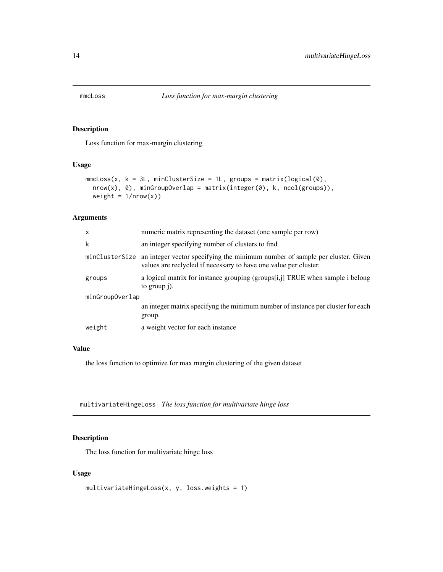<span id="page-13-0"></span>

#### Description

Loss function for max-margin clustering

#### Usage

```
mmcLoss(x, k = 3L, minClusterSize = 1L, groups = matrix(logical(0),nrow(x), 0), minGroupOverlap = matrix(integer(0), k, ncol(groups)),
 weight = 1/nrow(x))
```
#### Arguments

| $\mathsf{x}$    | numeric matrix representing the dataset (one sample per row)                                                                                     |  |
|-----------------|--------------------------------------------------------------------------------------------------------------------------------------------------|--|
| k               | an integer specifying number of clusters to find                                                                                                 |  |
| minClusterSize  | an integer vector specifying the minimum number of sample per cluster. Given<br>values are reclycled if necessary to have one value per cluster. |  |
| groups          | a logical matrix for instance grouping (groups[i,j] TRUE when sample i belong<br>to group $\mathbf{i}$ ).                                        |  |
| minGroupOverlap |                                                                                                                                                  |  |
|                 | an integer matrix specifying the minimum number of instance per cluster for each<br>group.                                                       |  |
| weight          | a weight vector for each instance                                                                                                                |  |

#### Value

the loss function to optimize for max margin clustering of the given dataset

multivariateHingeLoss *The loss function for multivariate hinge loss*

# Description

The loss function for multivariate hinge loss

```
multivariateHingeLoss(x, y, loss.weights = 1)
```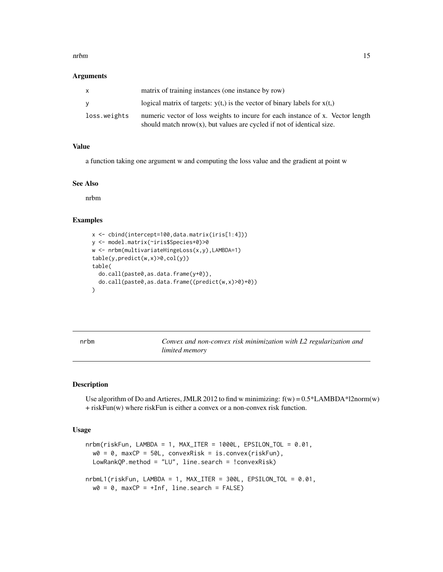#### <span id="page-14-0"></span>nrbm and the contract of the contract of the contract of the contract of the contract of the contract of the contract of the contract of the contract of the contract of the contract of the contract of the contract of the c

#### Arguments

|              | matrix of training instances (one instance by row)                                                                                                         |
|--------------|------------------------------------------------------------------------------------------------------------------------------------------------------------|
| v            | logical matrix of targets: $y(t)$ is the vector of binary labels for $x(t)$ .                                                                              |
| loss.weights | numeric vector of loss weights to incure for each instance of x. Vector length<br>should match $nrow(x)$ , but values are cycled if not of identical size. |

#### Value

a function taking one argument w and computing the loss value and the gradient at point w

# See Also

nrbm

#### Examples

```
x <- cbind(intercept=100,data.matrix(iris[1:4]))
y <- model.matrix(~iris$Species+0)>0
w <- nrbm(multivariateHingeLoss(x,y),LAMBDA=1)
table(y,predict(w,x)>0,col(y))
table(
  do.call(paste0,as.data.frame(y+0)),
  do.call(paste0,as.data.frame((predict(w,x)>0)+0))
)
```
<span id="page-14-1"></span>nrbm *Convex and non-convex risk minimization with L2 regularization and limited memory*

#### Description

Use algorithm of Do and Artieres, JMLR 2012 to find w minimizing:  $f(w) = 0.5 * LAMBDA * l2norm(w)$ + riskFun(w) where riskFun is either a convex or a non-convex risk function.

```
nrbm(riskFun, LAMBDA = 1, MAX_ITER = 1000L, EPSILON_TOL = 0.01,w0 = 0, maxCP = 50L, convexRisk = is.convex(riskFun),
 LowRankQP.method = "LU", line.search = !convexRisk)
nrbmL1(riskFun, LAMBDA = 1, MAX_ITER = 300L, EPSILON_TOL = 0.01,
 w0 = 0, maxCP = +Inf, line.search = FALSE)
```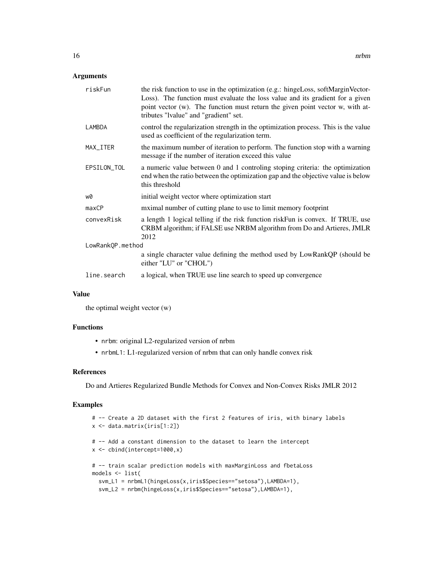# Arguments

| riskFun          | the risk function to use in the optimization (e.g.: hingeLoss, softMarginVector-<br>Loss). The function must evaluate the loss value and its gradient for a given<br>point vector (w). The function must return the given point vector w, with at-<br>tributes "Ivalue" and "gradient" set. |  |
|------------------|---------------------------------------------------------------------------------------------------------------------------------------------------------------------------------------------------------------------------------------------------------------------------------------------|--|
| LAMBDA           | control the regularization strength in the optimization process. This is the value<br>used as coefficient of the regularization term.                                                                                                                                                       |  |
| MAX_ITER         | the maximum number of iteration to perform. The function stop with a warning<br>message if the number of iteration exceed this value                                                                                                                                                        |  |
| EPSILON_TOL      | a numeric value between 0 and 1 controling stoping criteria: the optimization<br>end when the ratio between the optimization gap and the objective value is below<br>this threshold                                                                                                         |  |
| w0               | initial weight vector where optimization start                                                                                                                                                                                                                                              |  |
| maxCP            | mximal number of cutting plane to use to limit memory footprint                                                                                                                                                                                                                             |  |
| convexRisk       | a length 1 logical telling if the risk function risk Fun is convex. If TRUE, use<br>CRBM algorithm; if FALSE use NRBM algorithm from Do and Artieres, JMLR<br>2012                                                                                                                          |  |
| LowRankQP.method |                                                                                                                                                                                                                                                                                             |  |
|                  | a single character value defining the method used by LowRankQP (should be<br>either "LU" or "CHOL")                                                                                                                                                                                         |  |
| line.search      | a logical, when TRUE use line search to speed up convergence                                                                                                                                                                                                                                |  |
|                  |                                                                                                                                                                                                                                                                                             |  |

# Value

the optimal weight vector (w)

# Functions

- nrbm: original L2-regularized version of nrbm
- nrbmL1: L1-regularized version of nrbm that can only handle convex risk

# References

Do and Artieres Regularized Bundle Methods for Convex and Non-Convex Risks JMLR 2012

# Examples

```
# -- Create a 2D dataset with the first 2 features of iris, with binary labels
x <- data.matrix(iris[1:2])
# -- Add a constant dimension to the dataset to learn the intercept
x \leftarrow \text{cbind}(\text{intercept=1000}, x)# -- train scalar prediction models with maxMarginLoss and fbetaLoss
models <- list(
 svm_L1 = nrbmL1(hingeLoss(x,iris$Species=="setosa"),LAMBDA=1),
 svm_L2 = nrbm(hingeLoss(x,iris$Species=="setosa"),LAMBDA=1),
```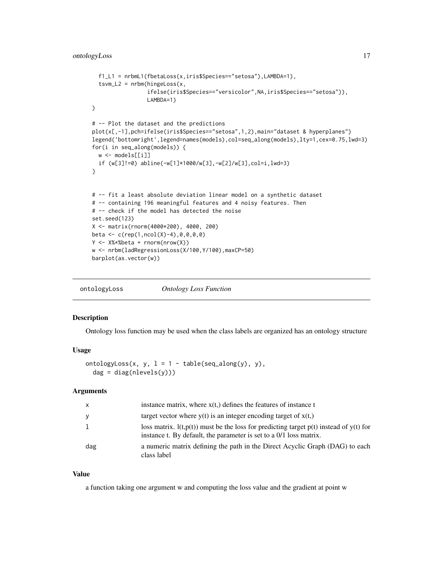```
f1_L1 = nrbmL1(fbetaLoss(x,iris$Species=="setosa"),LAMBDA=1),
  tsum_L2 = nrbm(hingeLoss(x,ifelse(iris$Species=="versicolor",NA,iris$Species=="setosa")),
                 LAMBDA=1)
\mathcal{L}# -- Plot the dataset and the predictions
plot(x[,-1],pch=ifelse(iris$Species=="setosa",1,2),main="dataset & hyperplanes")
legend('bottomright',legend=names(models),col=seq_along(models),lty=1,cex=0.75,lwd=3)
for(i in seq_along(models)) {
 w \leftarrow models[[i]]
  if (w[3]!=0) abline(-w[1]*1000/w[3],-w[2]/w[3],col=i,lwd=3)
}
# -- fit a least absolute deviation linear model on a synthetic dataset
# -- containing 196 meaningful features and 4 noisy features. Then
# -- check if the model has detected the noise
set.seed(123)
X <- matrix(rnorm(4000*200), 4000, 200)
beta <- c(rep(1,ncol(X)-4),0,0,0,0)
Y <- X%*%beta + rnorm(nrow(X))
w <- nrbm(ladRegressionLoss(X/100,Y/100),maxCP=50)
barplot(as.vector(w))
```

| ontologyLoss | <b>Ontology Loss Function</b> |
|--------------|-------------------------------|
|              |                               |

#### Description

Ontology loss function may be used when the class labels are organized has an ontology structure

#### Usage

```
ontologyLoss(x, y, l = 1 - table(seq_along(y), y),
 dag = diag(nlevels(y)))
```
#### Arguments

| $\mathsf{x}$ | instance matrix, where $x(t)$ defines the features of instance t                                                                                                   |
|--------------|--------------------------------------------------------------------------------------------------------------------------------------------------------------------|
| y            | target vector where $y(t)$ is an integer encoding target of $x(t)$ .                                                                                               |
|              | loss matrix. $l(t,p(t))$ must be the loss for predicting target $p(t)$ instead of $y(t)$ for<br>instance t. By default, the parameter is set to a 0/1 loss matrix. |
| dag          | a numeric matrix defining the path in the Direct Acyclic Graph (DAG) to each<br>class label                                                                        |

#### Value

a function taking one argument w and computing the loss value and the gradient at point w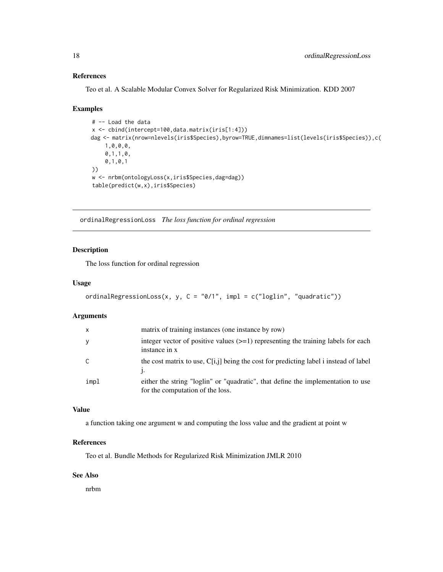# <span id="page-17-0"></span>References

Teo et al. A Scalable Modular Convex Solver for Regularized Risk Minimization. KDD 2007

#### Examples

```
# -- Load the data
x <- cbind(intercept=100,data.matrix(iris[1:4]))
dag <- matrix(nrow=nlevels(iris$Species),byrow=TRUE,dimnames=list(levels(iris$Species)),c(
    1,0,0,0,
    0,1,1,0,
    0,1,0,1
))
w <- nrbm(ontologyLoss(x,iris$Species,dag=dag))
table(predict(w,x),iris$Species)
```
ordinalRegressionLoss *The loss function for ordinal regression*

# Description

The loss function for ordinal regression

# Usage

```
ordinalRegressionLoss(x, y, C = "0/1", impl = c("loglin", "quadratic"))
```
#### Arguments

| $\mathsf{x}$ | matrix of training instances (one instance by row)                                                                   |
|--------------|----------------------------------------------------------------------------------------------------------------------|
| y            | integer vector of positive values $(\geq=1)$ representing the training labels for each<br>instance in x              |
| C.           | the cost matrix to use, $C[i,j]$ being the cost for predicting label i instead of label                              |
| impl         | either the string "loglin" or "quadratic", that define the implementation to use<br>for the computation of the loss. |

# Value

a function taking one argument w and computing the loss value and the gradient at point w

#### References

Teo et al. Bundle Methods for Regularized Risk Minimization JMLR 2010

#### See Also

nrbm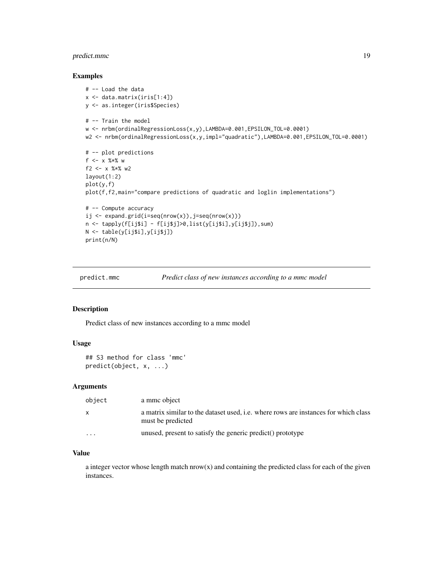# <span id="page-18-0"></span>predict.mmc 19

#### Examples

```
# -- Load the data
x \leftarrow \text{data_matrix}(iris[1:4])y <- as.integer(iris$Species)
# -- Train the model
w <- nrbm(ordinalRegressionLoss(x,y),LAMBDA=0.001,EPSILON_TOL=0.0001)
w2 <- nrbm(ordinalRegressionLoss(x,y,impl="quadratic"),LAMBDA=0.001,EPSILON_TOL=0.0001)
# -- plot predictions
f \le -x \frac{9}{2} \times \frac{9}{2} w
f2 <- x %*% w2
layout(1:2)
plot(y,f)
plot(f,f2,main="compare predictions of quadratic and loglin implementations")
# -- Compute accuracy
ij <- expand.grid(i=seq(nrow(x)),j=seq(nrow(x)))
n <- tapply(f[ij$i] - f[ij$j]>0,list(y[ij$i],y[ij$j]),sum)
N <- table(y[ij$i],y[ij$j])
print(n/N)
```
predict.mmc *Predict class of new instances according to a mmc model*

# Description

Predict class of new instances according to a mmc model

#### Usage

```
## S3 method for class 'mmc'
predict(object, x, ...)
```
#### Arguments

| object                  | a mmc object                                                                                                    |
|-------------------------|-----------------------------------------------------------------------------------------------------------------|
| $\mathsf{x}$            | a matrix similar to the dataset used, <i>i.e.</i> where rows are instances for which class<br>must be predicted |
| $\cdot$ $\cdot$ $\cdot$ | unused, present to satisfy the generic predict() prototype                                                      |

# Value

a integer vector whose length match  $nrow(x)$  and containing the predicted class for each of the given instances.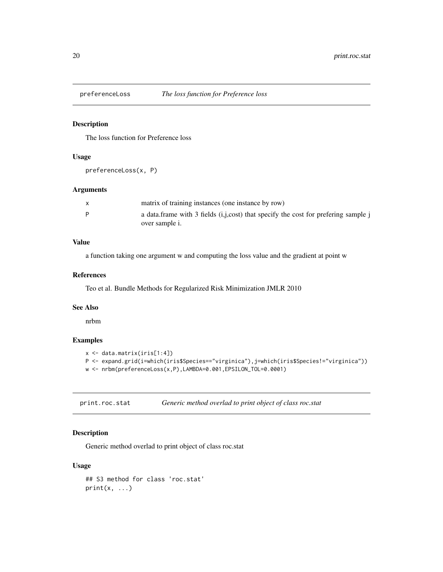<span id="page-19-0"></span>

# Description

The loss function for Preference loss

#### Usage

preferenceLoss(x, P)

#### Arguments

|   | matrix of training instances (one instance by row)                                 |
|---|------------------------------------------------------------------------------------|
| D | a data.frame with 3 fields (i,j,cost) that specify the cost for prefering sample j |
|   | over sample i.                                                                     |

# Value

a function taking one argument w and computing the loss value and the gradient at point w

#### References

Teo et al. Bundle Methods for Regularized Risk Minimization JMLR 2010

# See Also

nrbm

# Examples

```
x <- data.matrix(iris[1:4])
P <- expand.grid(i=which(iris$Species=="virginica"),j=which(iris$Species!="virginica"))
w <- nrbm(preferenceLoss(x,P),LAMBDA=0.001,EPSILON_TOL=0.0001)
```
print.roc.stat *Generic method overlad to print object of class roc.stat*

# Description

Generic method overlad to print object of class roc.stat

```
## S3 method for class 'roc.stat'
print(x, \ldots)
```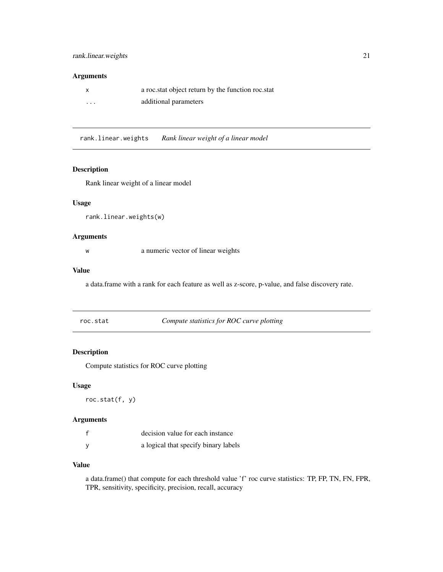#### <span id="page-20-0"></span>Arguments

|          | a roc.stat object return by the function roc.stat |
|----------|---------------------------------------------------|
| $\cdots$ | additional parameters                             |

rank.linear.weights *Rank linear weight of a linear model*

#### Description

Rank linear weight of a linear model

#### Usage

rank.linear.weights(w)

#### Arguments

w a numeric vector of linear weights

#### Value

a data.frame with a rank for each feature as well as z-score, p-value, and false discovery rate.

roc.stat *Compute statistics for ROC curve plotting*

# Description

Compute statistics for ROC curve plotting

# Usage

roc.stat(f, y)

# Arguments

| decision value for each instance     |
|--------------------------------------|
| a logical that specify binary labels |

# Value

a data.frame() that compute for each threshold value 'f' roc curve statistics: TP, FP, TN, FN, FPR, TPR, sensitivity, specificity, precision, recall, accuracy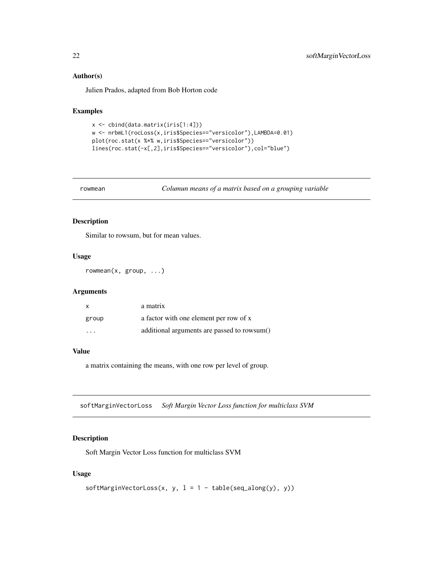#### Author(s)

Julien Prados, adapted from Bob Horton code

# Examples

```
x <- cbind(data.matrix(iris[1:4]))
w <- nrbmL1(rocLoss(x,iris$Species=="versicolor"),LAMBDA=0.01)
plot(roc.stat(x %*% w,iris$Species=="versicolor"))
lines(roc.stat(-x[,2],iris$Species=="versicolor"),col="blue")
```
rowmean *Columun means of a matrix based on a grouping variable*

# Description

Similar to rowsum, but for mean values.

#### Usage

rowmean(x, group, ...)

#### Arguments

| x       | a matrix                                    |
|---------|---------------------------------------------|
| group   | a factor with one element per row of x      |
| $\cdot$ | additional arguments are passed to rowsum() |

# Value

a matrix containing the means, with one row per level of group.

softMarginVectorLoss *Soft Margin Vector Loss function for multiclass SVM*

#### Description

Soft Margin Vector Loss function for multiclass SVM

```
softMarginVectorLoss(x, y, 1 = 1 - table(seq_along(y), y))
```
<span id="page-21-0"></span>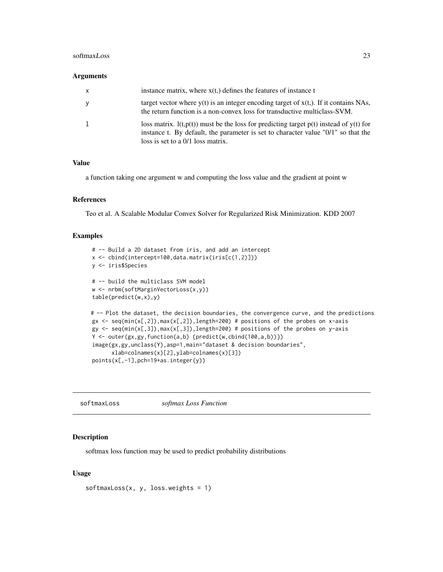#### <span id="page-22-0"></span>softmaxLoss 23

#### Arguments

| $\mathsf{x}$ | instance matrix, where $x(t)$ defines the features of instance t                                                                                                                                                       |
|--------------|------------------------------------------------------------------------------------------------------------------------------------------------------------------------------------------------------------------------|
| $\mathbf{y}$ | target vector where $y(t)$ is an integer encoding target of $x(t)$ . If it contains NAs,<br>the return function is a non-convex loss for transductive multiclass-SVM.                                                  |
| 1            | loss matrix. $l(t,p(t))$ must be the loss for predicting target $p(t)$ instead of $y(t)$ for<br>instance t. By default, the parameter is set to character value "0/1" so that the<br>loss is set to a 0/1 loss matrix. |

### Value

a function taking one argument w and computing the loss value and the gradient at point w

#### References

Teo et al. A Scalable Modular Convex Solver for Regularized Risk Minimization. KDD 2007

# Examples

```
# -- Build a 2D dataset from iris, and add an intercept
x <- cbind(intercept=100,data.matrix(iris[c(1,2)]))
y <- iris$Species
# -- build the multiclass SVM model
w <- nrbm(softMarginVectorLoss(x,y))
table(predict(w,x),y)
# -- Plot the dataset, the decision boundaries, the convergence curve, and the predictions
gx \leftarrow seq(min(x[,2]), max(x[,2]), length=200) # positions of the probes on x-axis
gy <- seq(min(x[,3]),max(x[,3]),length=200) # positions of the probes on y-axis
Y <- outer(gx,gy,function(a,b) {predict(w,cbind(100,a,b))})
image(gx,gy,unclass(Y),asp=1,main="dataset & decision boundaries",
      xlab=colnames(x)[2],ylab=colnames(x)[3])
points(x[,-1],pch=19+as.integer(y))
```
softmaxLoss *softmax Loss Function*

# Description

softmax loss function may be used to predict probability distributions

```
softmaxLoss(x, y, loss.weights = 1)
```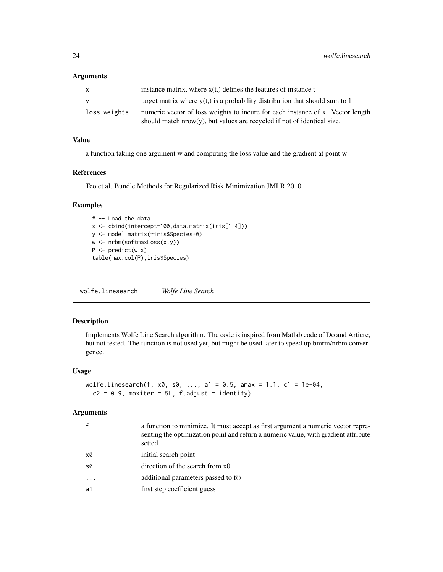#### <span id="page-23-0"></span>Arguments

| X            | instance matrix, where $x(t)$ defines the features of instance t                                                                                             |
|--------------|--------------------------------------------------------------------------------------------------------------------------------------------------------------|
| V            | target matrix where $y(t)$ is a probability distribution that should sum to 1                                                                                |
| loss.weights | numeric vector of loss weights to incure for each instance of x. Vector length<br>should match $nrow(y)$ , but values are recycled if not of identical size. |

# Value

a function taking one argument w and computing the loss value and the gradient at point w

### References

Teo et al. Bundle Methods for Regularized Risk Minimization JMLR 2010

# Examples

```
# -- Load the data
x <- cbind(intercept=100,data.matrix(iris[1:4]))
y <- model.matrix(~iris$Species+0)
w <- nrbm(softmaxLoss(x,y))
P \leftarrow predict(w, x)table(max.col(P),iris$Species)
```
wolfe.linesearch *Wolfe Line Search*

# Description

Implements Wolfe Line Search algorithm. The code is inspired from Matlab code of Do and Artiere, but not tested. The function is not used yet, but might be used later to speed up bmrm/nrbm convergence.

#### Usage

```
wolfe.linesearch(f, x0, s0, ..., a1 = 0.5, amax = 1.1, c1 = 1e-04,
  c2 = 0.9, maxiter = 5L, f.adjust = identity)
```
# Arguments

|          | a function to minimize. It must accept as first argument a numeric vector repre-<br>senting the optimization point and return a numeric value, with gradient attribute<br>setted |
|----------|----------------------------------------------------------------------------------------------------------------------------------------------------------------------------------|
| x0       | initial search point                                                                                                                                                             |
| s0       | direction of the search from $x0$                                                                                                                                                |
| $\ddots$ | additional parameters passed to $f()$                                                                                                                                            |
| a1       | first step coefficient guess                                                                                                                                                     |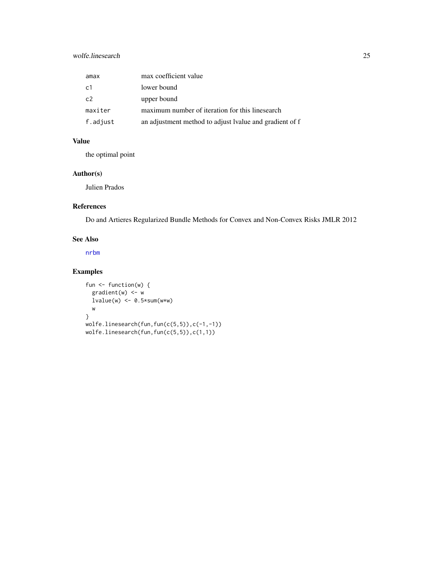# <span id="page-24-0"></span>wolfe.linesearch 25

| amax           | max coefficient value                                   |
|----------------|---------------------------------------------------------|
| c1             | lower bound                                             |
| C <sub>2</sub> | upper bound                                             |
| maxiter        | maximum number of iteration for this linesearch         |
| f.adjust       | an adjustment method to adjust Ivalue and gradient of f |

# Value

the optimal point

# Author(s)

Julien Prados

# References

Do and Artieres Regularized Bundle Methods for Convex and Non-Convex Risks JMLR 2012

# See Also

[nrbm](#page-14-1)

# Examples

```
fun <- function(w) {
  gradient(w) <- w
  lvalue(w) \leftarrow 0.5*sum(w*w)w
}
wolfe.linesearch(fun,fun(c(5,5)),c(-1,-1))
wolfe.linesearch(fun,fun(c(5,5)),c(1,1))
```